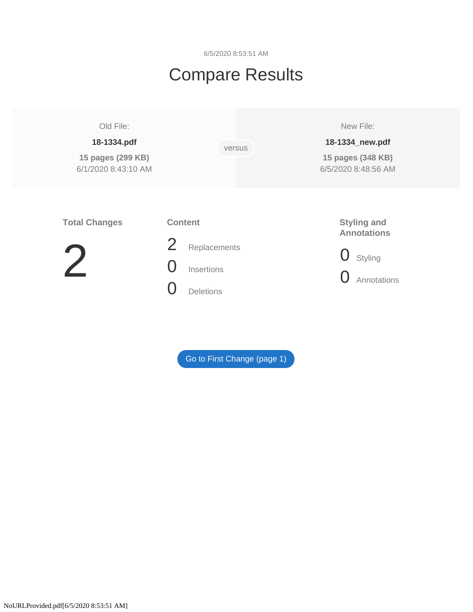6/5/2020 8:53:51 AM

# Compare Results

# Old File:

# **18-1334.pdf**

**15 pages (299 KB)**  6/1/2020 8:43:10 AM versus

New File:

# **18-1334\_new.pdf**

**15 pages (348 KB)**  6/5/2020 8:48:56 AM

# **Total Changes**

# **Content**



- 2 Replacements 0 Insertions
- 0 Deletions

# **Styling and Annotations**

- 0 Styling
- **O** Annotations

[Go to First Change \(page 1\)](#page-1-0)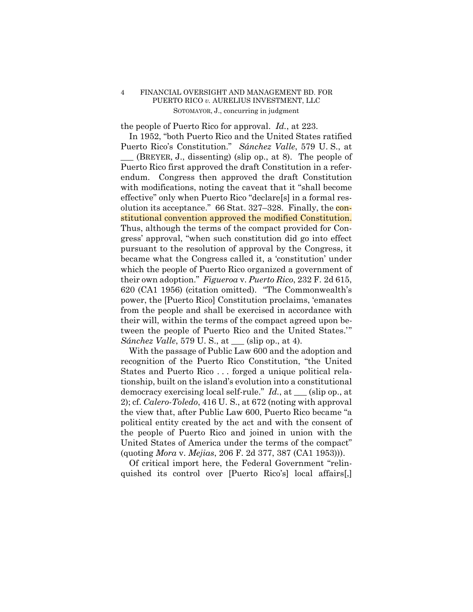<span id="page-1-0"></span>the people of Puerto Rico for approval. *Id.*, at 223.

 stitutional convention approved the modified Constitution. In 1952, "both Puerto Rico and the United States ratified Puerto Rico's Constitution." *Sánchez Valle*, 579 U. S., at \_\_\_ (BREYER, J., dissenting) (slip op., at 8). The people of Puerto Rico first approved the draft Constitution in a referendum. Congress then approved the draft Constitution with modifications, noting the caveat that it "shall become effective" only when Puerto Rico "declare[s] in a formal resolution its acceptance." 66 Stat. 327–328. Finally, the con-Thus, although the terms of the compact provided for Congress' approval, "when such constitution did go into effect pursuant to the resolution of approval by the Congress, it became what the Congress called it, a 'constitution' under which the people of Puerto Rico organized a government of their own adoption." *Figueroa* v. *Puerto Rico*, 232 F. 2d 615, 620 (CA1 1956) (citation omitted). "The Commonwealth's power, the [Puerto Rico] Constitution proclaims, 'emanates from the people and shall be exercised in accordance with their will, within the terms of the compact agreed upon between the people of Puerto Rico and the United States.'" *Sánchez Valle*, 579 U. S., at <u>equal</u> (slip op., at 4).

With the passage of Public Law 600 and the adoption and recognition of the Puerto Rico Constitution, "the United States and Puerto Rico . . . forged a unique political relationship, built on the island's evolution into a constitutional democracy exercising local self-rule." *Id.*, at \_\_\_ (slip op., at 2); cf. *Calero-Toledo*, 416 U. S., at 672 (noting with approval the view that, after Public Law 600, Puerto Rico became "a political entity created by the act and with the consent of the people of Puerto Rico and joined in union with the United States of America under the terms of the compact" (quoting *Mora* v. *Mejias*, 206 F. 2d 377, 387 (CA1 1953))).

Of critical import here, the Federal Government "relinquished its control over [Puerto Rico's] local affairs[,]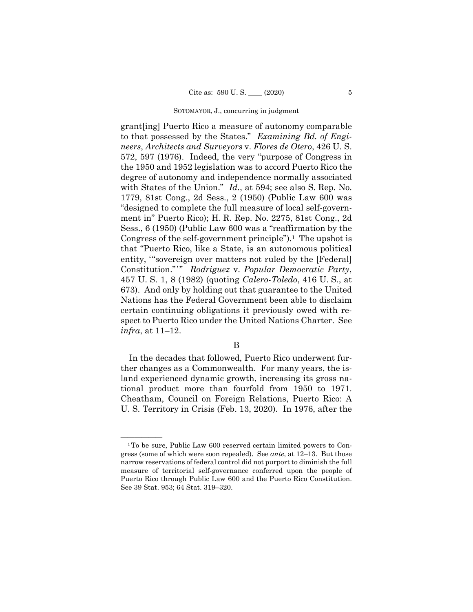Constitution."'" *Rodriguez* v. *Popular Democratic Party*, grant[ing] Puerto Rico a measure of autonomy comparable to that possessed by the States." *Examining Bd. of Engineers*, *Architects and Surveyors* v. *Flores de Otero*, 426 U. S. 572, 597 (1976). Indeed, the very "purpose of Congress in the 1950 and 1952 legislation was to accord Puerto Rico the degree of autonomy and independence normally associated with States of the Union." *Id.*, at 594; see also S. Rep. No. 1779, 81st Cong., 2d Sess., 2 (1950) (Public Law 600 was "designed to complete the full measure of local self-government in" Puerto Rico); H. R. Rep. No. 2275, 81st Cong., 2d Sess., 6 (1950) (Public Law 600 was a "reaffirmation by the Congress of the self-government principle").<sup>1</sup> The upshot is that "Puerto Rico, like a State, is an autonomous political entity, '"sovereign over matters not ruled by the [Federal] 457 U. S. 1, 8 (1982) (quoting *Calero-Toledo*, 416 U. S., at 673). And only by holding out that guarantee to the United Nations has the Federal Government been able to disclaim certain continuing obligations it previously owed with respect to Puerto Rico under the United Nations Charter. See *infra*, at 11–12.

# B

In the decades that followed, Puerto Rico underwent further changes as a Commonwealth. For many years, the island experienced dynamic growth, increasing its gross national product more than fourfold from 1950 to 1971. Cheatham, Council on Foreign Relations, Puerto Rico: A U. S. Territory in Crisis (Feb. 13, 2020). In 1976, after the

<sup>&</sup>lt;sup>1</sup>To be sure, Public Law 600 reserved certain limited powers to Congress (some of which were soon repealed). See *ante*, at 12–13. But those narrow reservations of federal control did not purport to diminish the full measure of territorial self-governance conferred upon the people of Puerto Rico through Public Law 600 and the Puerto Rico Constitution. See 39 Stat. 953; 64 Stat. 319–320.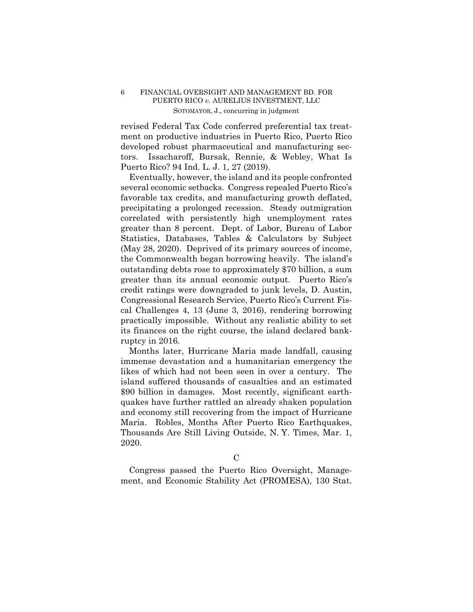revised Federal Tax Code conferred preferential tax treatment on productive industries in Puerto Rico, Puerto Rico developed robust pharmaceutical and manufacturing sectors. Issacharoff, Bursak, Rennie, & Webley, What Is Puerto Rico? 94 Ind. L. J. 1, 27 (2019).

Eventually, however, the island and its people confronted several economic setbacks. Congress repealed Puerto Rico's favorable tax credits, and manufacturing growth deflated, precipitating a prolonged recession. Steady outmigration correlated with persistently high unemployment rates greater than 8 percent. Dept. of Labor, Bureau of Labor Statistics, Databases, Tables & Calculators by Subject (May 28, 2020). Deprived of its primary sources of income, the Commonwealth began borrowing heavily. The island's outstanding debts rose to approximately \$70 billion, a sum greater than its annual economic output. Puerto Rico's credit ratings were downgraded to junk levels, D. Austin, Congressional Research Service, Puerto Rico's Current Fiscal Challenges 4, 13 (June 3, 2016), rendering borrowing practically impossible. Without any realistic ability to set its finances on the right course, the island declared bankruptcy in 2016.

Months later, Hurricane Maria made landfall, causing immense devastation and a humanitarian emergency the likes of which had not been seen in over a century. The island suffered thousands of casualties and an estimated \$90 billion in damages. Most recently, significant earthquakes have further rattled an already shaken population and economy still recovering from the impact of Hurricane Maria. Robles, Months After Puerto Rico Earthquakes, Thousands Are Still Living Outside, N. Y. Times, Mar. 1, 2020.

 $\mathcal{C}$ 

Congress passed the Puerto Rico Oversight, Management, and Economic Stability Act (PROMESA), 130 Stat.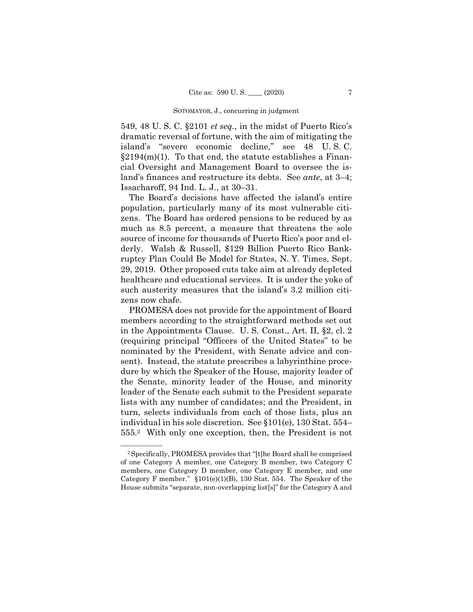549, 48 U. S. C. §2101 *et seq.*, in the midst of Puerto Rico's dramatic reversal of fortune, with the aim of mitigating the island's "severe economic decline," see 48 U. S. C.  $§2194(m)(1)$ . To that end, the statute establishes a Financial Oversight and Management Board to oversee the island's finances and restructure its debts. See *ante*, at 3–4; Issacharoff, 94 Ind. L. J., at 30–31.

The Board's decisions have affected the island's entire population, particularly many of its most vulnerable citizens. The Board has ordered pensions to be reduced by as much as 8.5 percent, a measure that threatens the sole source of income for thousands of Puerto Rico's poor and elderly. Walsh & Russell, \$129 Billion Puerto Rico Bankruptcy Plan Could Be Model for States, N. Y. Times, Sept. 29, 2019. Other proposed cuts take aim at already depleted healthcare and educational services. It is under the yoke of such austerity measures that the island's 3.2 million citizens now chafe.

PROMESA does not provide for the appointment of Board members according to the straightforward methods set out in the Appointments Clause. U. S. Const., Art. II, §2, cl. 2 (requiring principal "Officers of the United States" to be nominated by the President, with Senate advice and consent). Instead, the statute prescribes a labyrinthine procedure by which the Speaker of the House, majority leader of the Senate, minority leader of the House, and minority leader of the Senate each submit to the President separate lists with any number of candidates; and the President, in turn, selects individuals from each of those lists, plus an individual in his sole discretion. See §101(e), 130 Stat. 554– 555.2 With only one exception, then, the President is not

 of one Category A member, one Category B member, two Category C <sup>2</sup> Specifically, PROMESA provides that "[t]he Board shall be comprised members, one Category D member, one Category E member, and one Category F member." §101(e)(1)(B), 130 Stat. 554. The Speaker of the House submits "separate, non-overlapping list[s]" for the Category A and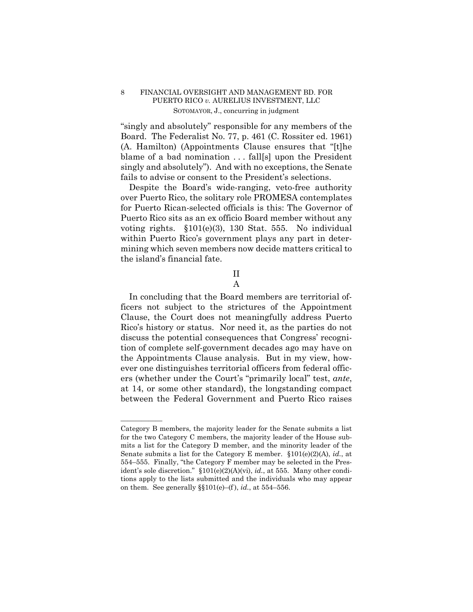"singly and absolutely" responsible for any members of the Board. The Federalist No. 77, p. 461 (C. Rossiter ed. 1961) (A. Hamilton) (Appointments Clause ensures that "[t]he blame of a bad nomination . . . fall[s] upon the President singly and absolutely"). And with no exceptions, the Senate fails to advise or consent to the President's selections.

Despite the Board's wide-ranging, veto-free authority over Puerto Rico, the solitary role PROMESA contemplates for Puerto Rican-selected officials is this: The Governor of Puerto Rico sits as an ex officio Board member without any voting rights. §101(e)(3), 130 Stat. 555. No individual within Puerto Rico's government plays any part in determining which seven members now decide matters critical to the island's financial fate.

# II

A

In concluding that the Board members are territorial officers not subject to the strictures of the Appointment Clause, the Court does not meaningfully address Puerto Rico's history or status. Nor need it, as the parties do not discuss the potential consequences that Congress' recognition of complete self-government decades ago may have on the Appointments Clause analysis. But in my view, however one distinguishes territorial officers from federal officers (whether under the Court's "primarily local" test, *ante*, at 14, or some other standard), the longstanding compact between the Federal Government and Puerto Rico raises

——————

Category B members, the majority leader for the Senate submits a list for the two Category C members, the majority leader of the House submits a list for the Category D member, and the minority leader of the Senate submits a list for the Category E member. §101(e)(2)(A), *id.*, at 554–555. Finally, "the Category F member may be selected in the President's sole discretion." §101(e)(2)(A)(vi), *id.*, at 555. Many other conditions apply to the lists submitted and the individuals who may appear on them. See generally  $\S$ [101(e)–(f), *id.*, at 554–556.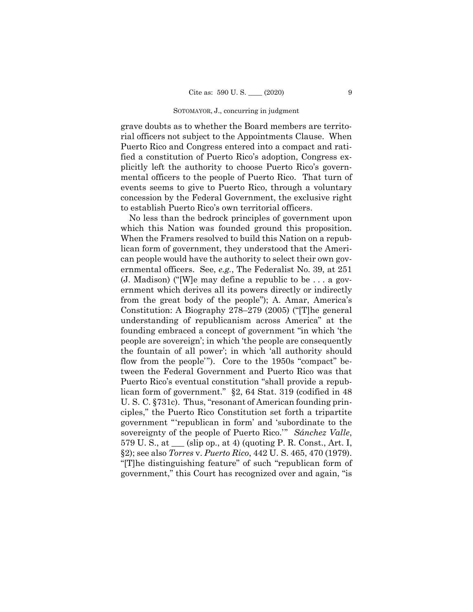grave doubts as to whether the Board members are territorial officers not subject to the Appointments Clause. When Puerto Rico and Congress entered into a compact and ratified a constitution of Puerto Rico's adoption, Congress explicitly left the authority to choose Puerto Rico's governmental officers to the people of Puerto Rico. That turn of events seems to give to Puerto Rico, through a voluntary concession by the Federal Government, the exclusive right to establish Puerto Rico's own territorial officers.

 §2); see also *Torres* v. *Puerto Rico*, 442 U. S. 465, 470 (1979). No less than the bedrock principles of government upon which this Nation was founded ground this proposition. When the Framers resolved to build this Nation on a republican form of government, they understood that the American people would have the authority to select their own governmental officers. See, *e.g.*, The Federalist No. 39, at 251 (J. Madison) ("[W]e may define a republic to be . . . a government which derives all its powers directly or indirectly from the great body of the people"); A. Amar, America's Constitution: A Biography 278–279 (2005) ("[T]he general understanding of republicanism across America" at the founding embraced a concept of government "in which 'the people are sovereign'; in which 'the people are consequently the fountain of all power'; in which 'all authority should flow from the people'"). Core to the 1950s "compact" between the Federal Government and Puerto Rico was that Puerto Rico's eventual constitution "shall provide a republican form of government." §2, 64 Stat. 319 (codified in 48 U. S. C. §731c). Thus, "resonant of American founding principles," the Puerto Rico Constitution set forth a tripartite government "'republican in form' and 'subordinate to the sovereignty of the people of Puerto Rico.'" *Sánchez Valle*,  $579 \text{ U.S., at }$  (slip op., at 4) (quoting P. R. Const., Art. I, "[T]he distinguishing feature" of such "republican form of government," this Court has recognized over and again, "is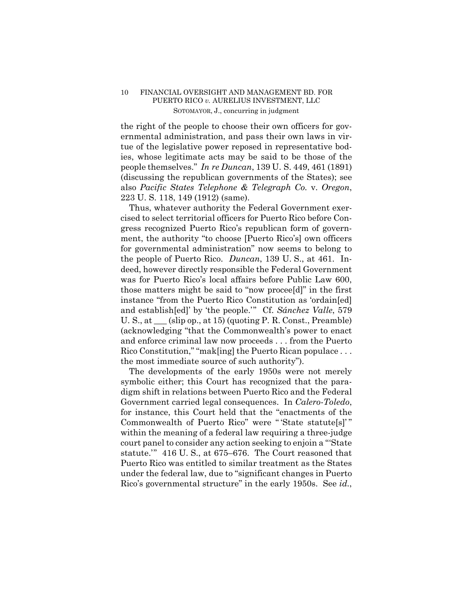the right of the people to choose their own officers for governmental administration, and pass their own laws in virtue of the legislative power reposed in representative bodies, whose legitimate acts may be said to be those of the people themselves." *In re Duncan*, 139 U. S. 449, 461 (1891) (discussing the republican governments of the States); see also *Pacific States Telephone & Telegraph Co.* v. *Oregon*, 223 U. S. 118, 149 (1912) (same).

Thus, whatever authority the Federal Government exercised to select territorial officers for Puerto Rico before Congress recognized Puerto Rico's republican form of government, the authority "to choose [Puerto Rico's] own officers for governmental administration" now seems to belong to the people of Puerto Rico. *Duncan*, 139 U. S., at 461. Indeed, however directly responsible the Federal Government was for Puerto Rico's local affairs before Public Law 600, those matters might be said to "now procee[d]" in the first instance "from the Puerto Rico Constitution as 'ordain[ed] and establish[ed]' by 'the people.'" Cf. *Sánchez Valle*, 579 U. S., at \_\_\_ (slip op., at 15) (quoting P. R. Const., Preamble) (acknowledging "that the Commonwealth's power to enact and enforce criminal law now proceeds . . . from the Puerto Rico Constitution," "mak[ing] the Puerto Rican populace . . . the most immediate source of such authority").

The developments of the early 1950s were not merely symbolic either; this Court has recognized that the paradigm shift in relations between Puerto Rico and the Federal Government carried legal consequences. In *Calero-Toledo*, for instance, this Court held that the "enactments of the Commonwealth of Puerto Rico" were " 'State statute[s]' " within the meaning of a federal law requiring a three-judge court panel to consider any action seeking to enjoin a "'State statute.'" 416 U. S., at 675–676. The Court reasoned that Puerto Rico was entitled to similar treatment as the States under the federal law, due to "significant changes in Puerto Rico's governmental structure" in the early 1950s. See *id.*,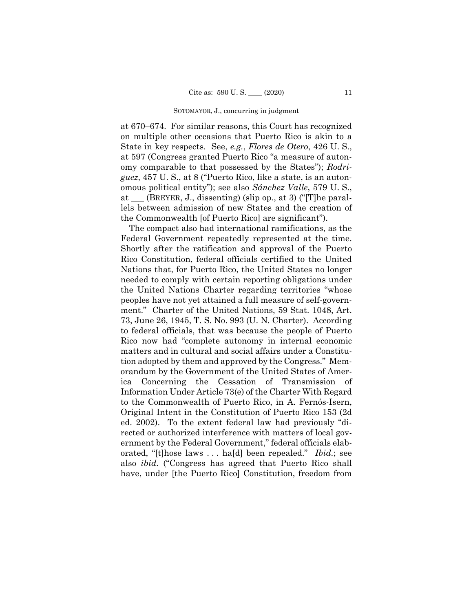at 670–674. For similar reasons, this Court has recognized on multiple other occasions that Puerto Rico is akin to a State in key respects. See, *e.g.*, *Flores de Otero*, 426 U. S., at 597 (Congress granted Puerto Rico "a measure of autonomy comparable to that possessed by the States"); *Rodriguez*, 457 U. S., at 8 ("Puerto Rico, like a state, is an autonomous political entity"); see also *Sánchez Valle*, 579 U. S., at \_\_\_ (BREYER, J., dissenting) (slip op., at 3) ("[T]he parallels between admission of new States and the creation of the Commonwealth [of Puerto Rico] are significant").

The compact also had international ramifications, as the Federal Government repeatedly represented at the time. Shortly after the ratification and approval of the Puerto Rico Constitution, federal officials certified to the United Nations that, for Puerto Rico, the United States no longer needed to comply with certain reporting obligations under the United Nations Charter regarding territories "whose peoples have not yet attained a full measure of self-government." Charter of the United Nations, 59 Stat. 1048, Art. 73, June 26, 1945, T. S. No. 993 (U. N. Charter). According to federal officials, that was because the people of Puerto Rico now had "complete autonomy in internal economic matters and in cultural and social affairs under a Constitution adopted by them and approved by the Congress." Memorandum by the Government of the United States of America Concerning the Cessation of Transmission of Information Under Article 73(e) of the Charter With Regard to the Commonwealth of Puerto Rico, in A. Fernós-Isern, Original Intent in the Constitution of Puerto Rico 153 (2d ed. 2002). To the extent federal law had previously "directed or authorized interference with matters of local government by the Federal Government," federal officials elaborated, "[t]hose laws . . . ha[d] been repealed." *Ibid.*; see also *ibid.* ("Congress has agreed that Puerto Rico shall have, under [the Puerto Rico] Constitution, freedom from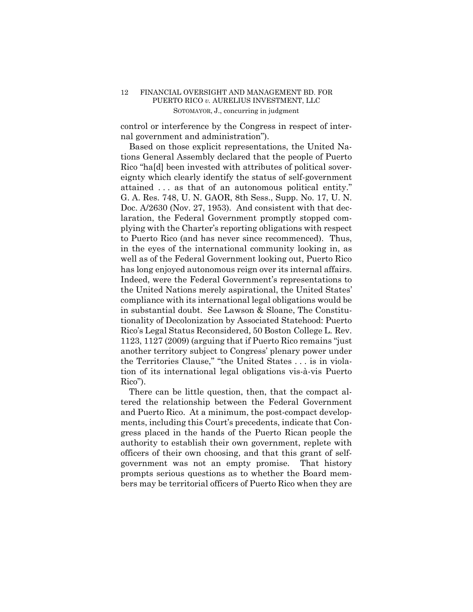control or interference by the Congress in respect of internal government and administration").

Based on those explicit representations, the United Nations General Assembly declared that the people of Puerto Rico "ha[d] been invested with attributes of political sovereignty which clearly identify the status of self-government attained . . . as that of an autonomous political entity." G. A. Res. 748, U. N. GAOR, 8th Sess., Supp. No. 17, U. N. Doc. A/2630 (Nov. 27, 1953). And consistent with that declaration, the Federal Government promptly stopped complying with the Charter's reporting obligations with respect to Puerto Rico (and has never since recommenced). Thus, in the eyes of the international community looking in, as well as of the Federal Government looking out, Puerto Rico has long enjoyed autonomous reign over its internal affairs. Indeed, were the Federal Government's representations to the United Nations merely aspirational, the United States' compliance with its international legal obligations would be in substantial doubt. See Lawson & Sloane, The Constitutionality of Decolonization by Associated Statehood: Puerto Rico's Legal Status Reconsidered, 50 Boston College L. Rev. 1123, 1127 (2009) (arguing that if Puerto Rico remains "just another territory subject to Congress' plenary power under the Territories Clause," "the United States . . . is in violation of its international legal obligations vis-à-vis Puerto Rico").

There can be little question, then, that the compact altered the relationship between the Federal Government and Puerto Rico. At a minimum, the post-compact developments, including this Court's precedents, indicate that Congress placed in the hands of the Puerto Rican people the authority to establish their own government, replete with officers of their own choosing, and that this grant of selfgovernment was not an empty promise. That history prompts serious questions as to whether the Board members may be territorial officers of Puerto Rico when they are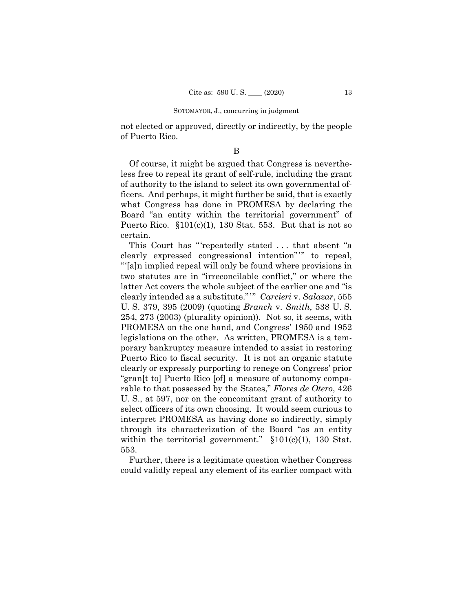not elected or approved, directly or indirectly, by the people of Puerto Rico.

#### B

Of course, it might be argued that Congress is nevertheless free to repeal its grant of self-rule, including the grant of authority to the island to select its own governmental officers. And perhaps, it might further be said, that is exactly what Congress has done in PROMESA by declaring the Board "an entity within the territorial government" of Puerto Rico.  $$101(c)(1)$ , 130 Stat. 553. But that is not so certain.

 clearly expressed congressional intention"'" to repeal, clearly intended as a substitute."'" *Carcieri* v. *Salazar*, 555 This Court has "'repeatedly stated . . . that absent "a "'[a]n implied repeal will only be found where provisions in two statutes are in "irreconcilable conflict," or where the latter Act covers the whole subject of the earlier one and "is U. S. 379, 395 (2009) (quoting *Branch* v. *Smith*, 538 U. S. 254, 273 (2003) (plurality opinion)). Not so, it seems, with PROMESA on the one hand, and Congress' 1950 and 1952 legislations on the other. As written, PROMESA is a temporary bankruptcy measure intended to assist in restoring Puerto Rico to fiscal security. It is not an organic statute clearly or expressly purporting to renege on Congress' prior "gran[t to] Puerto Rico [of] a measure of autonomy comparable to that possessed by the States," *Flores de Otero*, 426 U. S., at 597, nor on the concomitant grant of authority to select officers of its own choosing. It would seem curious to interpret PROMESA as having done so indirectly, simply through its characterization of the Board "as an entity within the territorial government."  $$101(c)(1)$ , 130 Stat. 553.

Further, there is a legitimate question whether Congress could validly repeal any element of its earlier compact with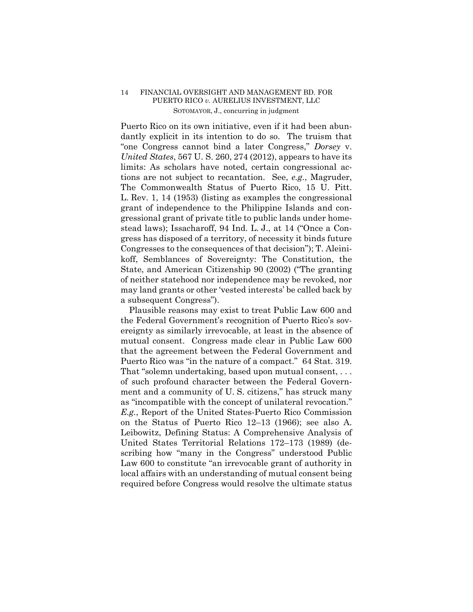Puerto Rico on its own initiative, even if it had been abundantly explicit in its intention to do so. The truism that "one Congress cannot bind a later Congress," *Dorsey* v. *United States*, 567 U. S. 260, 274 (2012), appears to have its limits: As scholars have noted, certain congressional actions are not subject to recantation. See, *e.g.*, Magruder, The Commonwealth Status of Puerto Rico, 15 U. Pitt. L. Rev. 1, 14 (1953) (listing as examples the congressional grant of independence to the Philippine Islands and congressional grant of private title to public lands under homestead laws); Issacharoff, 94 Ind. L. J., at 14 ("Once a Congress has disposed of a territory, of necessity it binds future Congresses to the consequences of that decision"); T. Aleinikoff, Semblances of Sovereignty: The Constitution, the State, and American Citizenship 90 (2002) ("The granting of neither statehood nor independence may be revoked, nor may land grants or other 'vested interests' be called back by a subsequent Congress").

Plausible reasons may exist to treat Public Law 600 and the Federal Government's recognition of Puerto Rico's sovereignty as similarly irrevocable, at least in the absence of mutual consent. Congress made clear in Public Law 600 that the agreement between the Federal Government and Puerto Rico was "in the nature of a compact." 64 Stat. 319.<br>That "solemn undertaking, based upon mutual consent, ... of such profound character between the Federal Government and a community of U. S. citizens," has struck many as "incompatible with the concept of unilateral revocation." *E.g.*, Report of the United States-Puerto Rico Commission on the Status of Puerto Rico 12–13 (1966); see also A. Leibowitz, Defining Status: A Comprehensive Analysis of United States Territorial Relations 172–173 (1989) (describing how "many in the Congress" understood Public Law 600 to constitute "an irrevocable grant of authority in local affairs with an understanding of mutual consent being required before Congress would resolve the ultimate status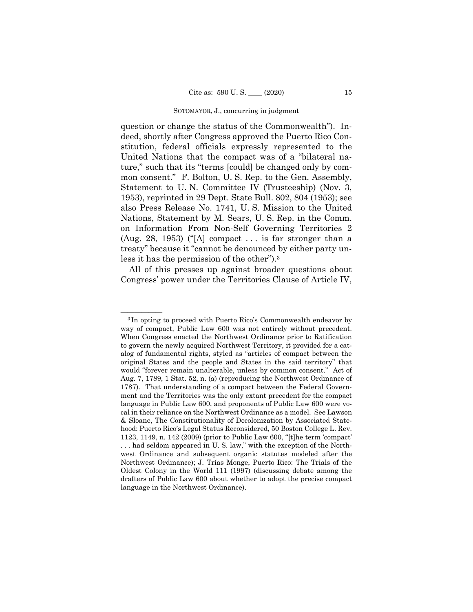question or change the status of the Commonwealth"). Indeed, shortly after Congress approved the Puerto Rico Constitution, federal officials expressly represented to the United Nations that the compact was of a "bilateral nature," such that its "terms [could] be changed only by common consent." F. Bolton, U. S. Rep. to the Gen. Assembly, Statement to U. N. Committee IV (Trusteeship) (Nov. 3, 1953), reprinted in 29 Dept. State Bull. 802, 804 (1953); see also Press Release No. 1741, U. S. Mission to the United Nations, Statement by M. Sears, U. S. Rep. in the Comm. on Information From Non-Self Governing Territories 2 (Aug. 28, 1953) ("[A] compact  $\dots$  is far stronger than a treaty" because it "cannot be denounced by either party unless it has the permission of the other").3

All of this presses up against broader questions about Congress' power under the Territories Clause of Article IV,

<sup>&</sup>lt;sup>3</sup>In opting to proceed with Puerto Rico's Commonwealth endeavor by way of compact, Public Law 600 was not entirely without precedent. When Congress enacted the Northwest Ordinance prior to Ratification to govern the newly acquired Northwest Territory, it provided for a catalog of fundamental rights, styled as "articles of compact between the original States and the people and States in the said territory" that would "forever remain unalterable, unless by common consent." Act of Aug. 7, 1789, 1 Stat. 52, n. (*a*) (reproducing the Northwest Ordinance of 1787). That understanding of a compact between the Federal Government and the Territories was the only extant precedent for the compact language in Public Law 600, and proponents of Public Law 600 were vocal in their reliance on the Northwest Ordinance as a model. See Lawson & Sloane, The Constitutionality of Decolonization by Associated Statehood: Puerto Rico's Legal Status Reconsidered, 50 Boston College L. Rev. 1123, 1149, n. 142 (2009) (prior to Public Law 600, "[t]he term 'compact' . . . had seldom appeared in U. S. law," with the exception of the Northwest Ordinance and subsequent organic statutes modeled after the Northwest Ordinance); J. Trías Monge, Puerto Rico: The Trials of the Oldest Colony in the World 111 (1997) (discussing debate among the drafters of Public Law 600 about whether to adopt the precise compact language in the Northwest Ordinance).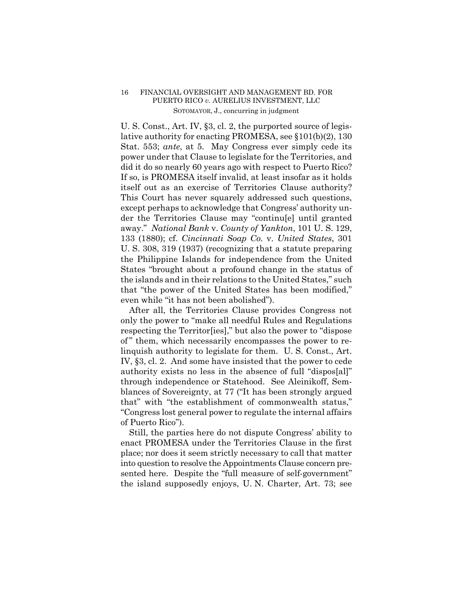U. S. Const., Art. IV, §3, cl. 2, the purported source of legislative authority for enacting PROMESA, see §101(b)(2), 130 Stat. 553; *ante*, at 5. May Congress ever simply cede its power under that Clause to legislate for the Territories, and did it do so nearly 60 years ago with respect to Puerto Rico? If so, is PROMESA itself invalid, at least insofar as it holds itself out as an exercise of Territories Clause authority? This Court has never squarely addressed such questions, except perhaps to acknowledge that Congress' authority under the Territories Clause may "continu[e] until granted away." *National Bank* v. *County of Yankton*, 101 U. S. 129, 133 (1880); cf. *Cincinnati Soap Co.* v. *United States*, 301 U. S. 308, 319 (1937) (recognizing that a statute preparing the Philippine Islands for independence from the United States "brought about a profound change in the status of the islands and in their relations to the United States," such that "the power of the United States has been modified," even while "it has not been abolished").

After all, the Territories Clause provides Congress not only the power to "make all needful Rules and Regulations respecting the Territor[ies]," but also the power to "dispose of" them, which necessarily encompasses the power to relinquish authority to legislate for them. U. S. Const., Art. IV, §3, cl. 2. And some have insisted that the power to cede authority exists no less in the absence of full "dispos[al]" through independence or Statehood. See Aleinikoff, Semblances of Sovereignty, at 77 ("It has been strongly argued that" with "the establishment of commonwealth status," "Congress lost general power to regulate the internal affairs of Puerto Rico").

Still, the parties here do not dispute Congress' ability to enact PROMESA under the Territories Clause in the first place; nor does it seem strictly necessary to call that matter into question to resolve the Appointments Clause concern presented here. Despite the "full measure of self-government" the island supposedly enjoys, U. N. Charter, Art. 73; see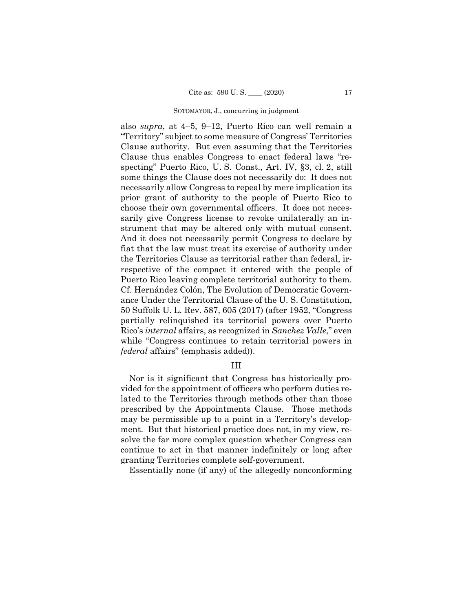also *supra*, at 4–5, 9–12, Puerto Rico can well remain a "Territory" subject to some measure of Congress' Territories Clause authority. But even assuming that the Territories Clause thus enables Congress to enact federal laws "respecting" Puerto Rico, U. S. Const., Art. IV, §3, cl. 2, still some things the Clause does not necessarily do: It does not necessarily allow Congress to repeal by mere implication its prior grant of authority to the people of Puerto Rico to choose their own governmental officers. It does not necessarily give Congress license to revoke unilaterally an instrument that may be altered only with mutual consent. And it does not necessarily permit Congress to declare by fiat that the law must treat its exercise of authority under the Territories Clause as territorial rather than federal, irrespective of the compact it entered with the people of Puerto Rico leaving complete territorial authority to them. Cf. Hernández Colón, The Evolution of Democratic Governance Under the Territorial Clause of the U. S. Constitution, 50 Suffolk U. L. Rev. 587, 605 (2017) (after 1952, "Congress partially relinquished its territorial powers over Puerto Rico's *internal* affairs, as recognized in *Sanchez Valle*," even while "Congress continues to retain territorial powers in *federal* affairs" (emphasis added)).

# III

Nor is it significant that Congress has historically provided for the appointment of officers who perform duties related to the Territories through methods other than those prescribed by the Appointments Clause. Those methods may be permissible up to a point in a Territory's development. But that historical practice does not, in my view, resolve the far more complex question whether Congress can continue to act in that manner indefinitely or long after granting Territories complete self-government.

Essentially none (if any) of the allegedly nonconforming